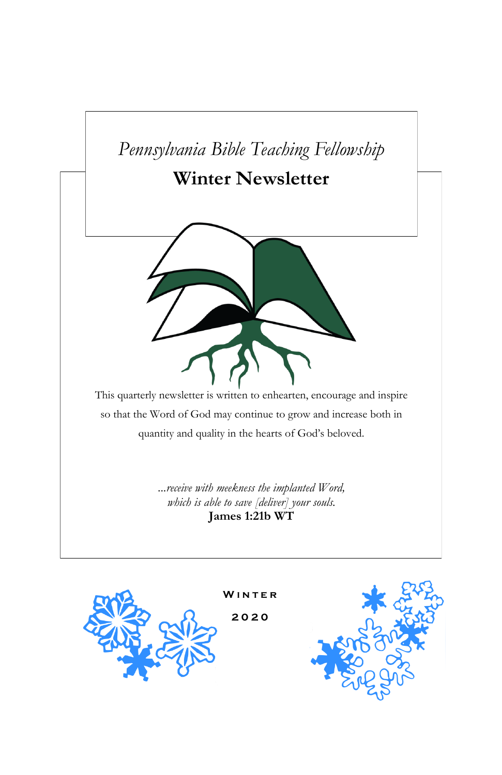



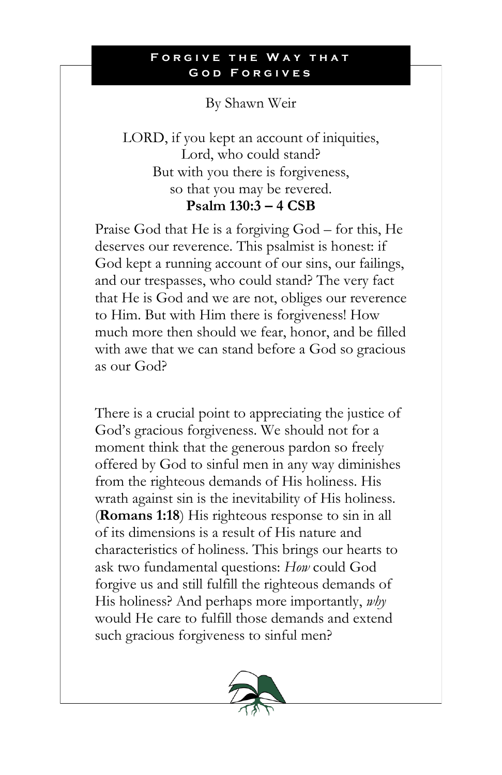# By Shawn Weir

LORD, if you kept an account of iniquities, Lord, who could stand? But with you there is forgiveness, so that you may be revered. **Psalm 130:3 – 4 CSB**

Praise God that He is a forgiving God – for this, He deserves our reverence. This psalmist is honest: if God kept a running account of our sins, our failings, and our trespasses, who could stand? The very fact that He is God and we are not, obliges our reverence to Him. But with Him there is forgiveness! How much more then should we fear, honor, and be filled with awe that we can stand before a God so gracious as our God?

There is a crucial point to appreciating the justice of God's gracious forgiveness. We should not for a moment think that the generous pardon so freely offered by God to sinful men in any way diminishes from the righteous demands of His holiness. His wrath against sin is the inevitability of His holiness. (**Romans 1:18**) His righteous response to sin in all of its dimensions is a result of His nature and characteristics of holiness. This brings our hearts to ask two fundamental questions: *How* could God forgive us and still fulfill the righteous demands of His holiness? And perhaps more importantly, *why* would He care to fulfill those demands and extend such gracious forgiveness to sinful men?

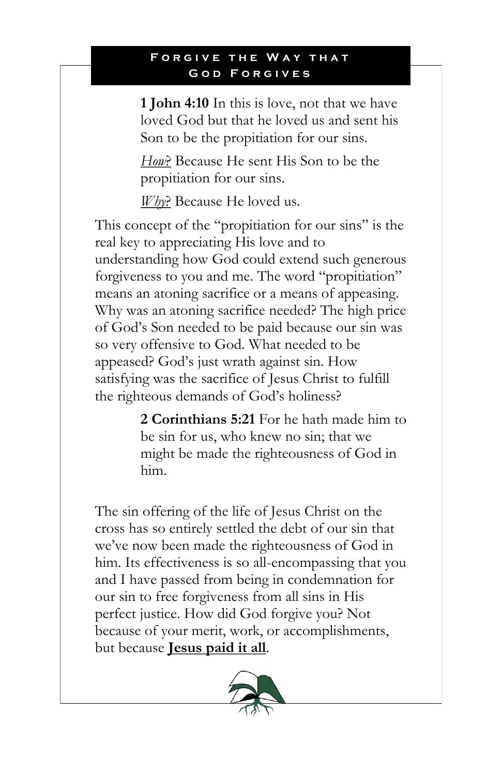**1 John 4:10** In this is love, not that we have loved God but that he loved us and sent his Son to be the propitiation for our sins.

*How*? Because He sent His Son to be the propitiation for our sins.

*Why*? Because He loved us.

This concept of the "propitiation for our sins" is the real key to appreciating His love and to understanding how God could extend such generous forgiveness to you and me. The word "propitiation" means an atoning sacrifice or a means of appeasing. Why was an atoning sacrifice needed? The high price of God's Son needed to be paid because our sin was so very offensive to God. What needed to be appeased? God's just wrath against sin. How satisfying was the sacrifice of Jesus Christ to fulfill the righteous demands of God's holiness?

> **2 Corinthians 5:21** For he hath made him to be sin for us, who knew no sin; that we might be made the righteousness of God in him.

The sin offering of the life of Jesus Christ on the cross has so entirely settled the debt of our sin that we've now been made the righteousness of God in him. Its effectiveness is so all-encompassing that you and I have passed from being in condemnation for our sin to free forgiveness from all sins in His perfect justice. How did God forgive you? Not because of your merit, work, or accomplishments, but because **Jesus paid it all**.

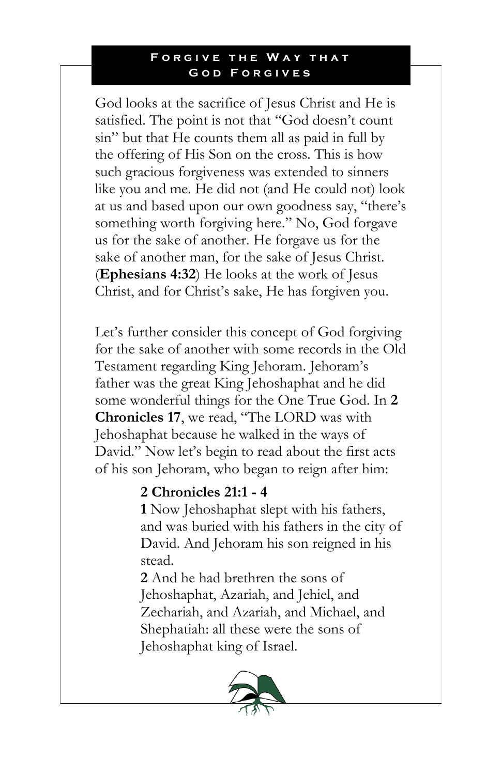God looks at the sacrifice of Jesus Christ and He is satisfied. The point is not that "God doesn't count sin" but that He counts them all as paid in full by the offering of His Son on the cross. This is how such gracious forgiveness was extended to sinners like you and me. He did not (and He could not) look at us and based upon our own goodness say, "there's something worth forgiving here." No, God forgave us for the sake of another. He forgave us for the sake of another man, for the sake of Jesus Christ. (**Ephesians 4:32**) He looks at the work of Jesus Christ, and for Christ's sake, He has forgiven you.

Let's further consider this concept of God forgiving for the sake of another with some records in the Old Testament regarding King Jehoram. Jehoram's father was the great King Jehoshaphat and he did some wonderful things for the One True God. In **2 Chronicles 17**, we read, "The LORD was with Jehoshaphat because he walked in the ways of David." Now let's begin to read about the first acts of his son Jehoram, who began to reign after him:

## **2 Chronicles 21:1 - 4**

**1** Now Jehoshaphat slept with his fathers, and was buried with his fathers in the city of David. And Jehoram his son reigned in his stead.

**2** And he had brethren the sons of Jehoshaphat, Azariah, and Jehiel, and Zechariah, and Azariah, and Michael, and Shephatiah: all these were the sons of Jehoshaphat king of Israel.

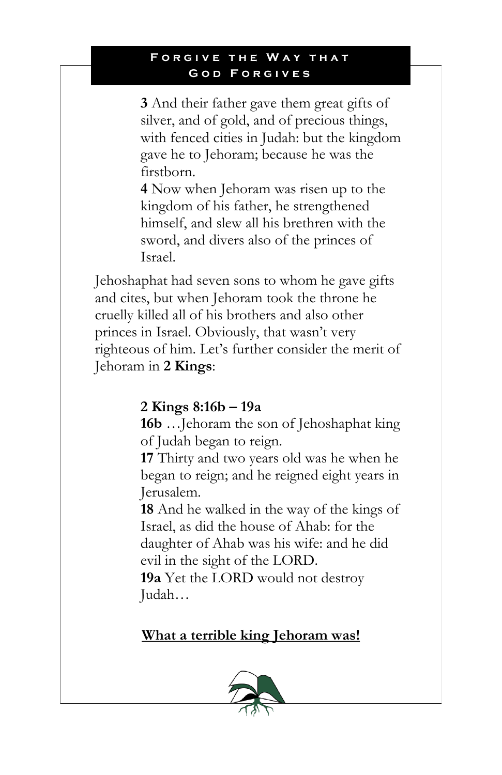#### **FORGIVE THE WAY THAT GOD FORGIVES**

**3** And their father gave them great gifts of silver, and of gold, and of precious things, with fenced cities in Judah: but the kingdom gave he to Jehoram; because he was the firstborn.

**4** Now when Jehoram was risen up to the kingdom of his father, he strengthened himself, and slew all his brethren with the sword, and divers also of the princes of Israel.

Jehoshaphat had seven sons to whom he gave gifts and cites, but when Jehoram took the throne he cruelly killed all of his brothers and also other princes in Israel. Obviously, that wasn't very righteous of him. Let's further consider the merit of Jehoram in **2 Kings**:

# **2 Kings 8:16b – 19a**

**16b** …Jehoram the son of Jehoshaphat king of Judah began to reign.

**17** Thirty and two years old was he when he began to reign; and he reigned eight years in Jerusalem.

**18** And he walked in the way of the kings of Israel, as did the house of Ahab: for the daughter of Ahab was his wife: and he did evil in the sight of the LORD.

**19a** Yet the LORD would not destroy Judah…

# **What a terrible king Jehoram was!**

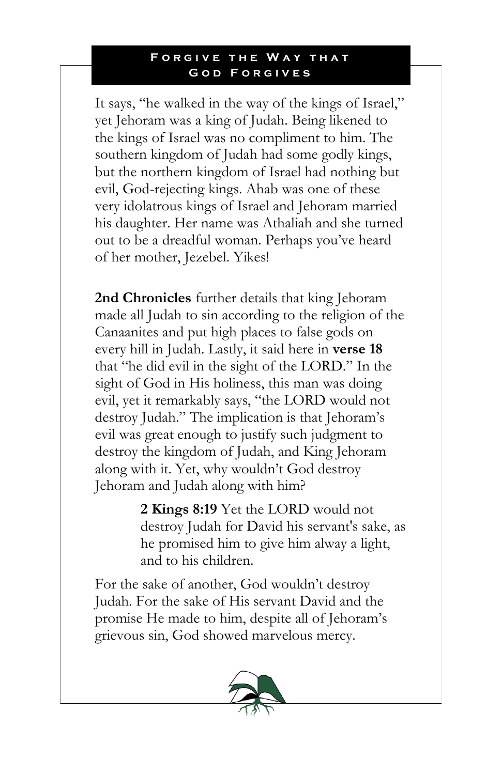It says, "he walked in the way of the kings of Israel," yet Jehoram was a king of Judah. Being likened to the kings of Israel was no compliment to him. The southern kingdom of Judah had some godly kings, but the northern kingdom of Israel had nothing but evil, God-rejecting kings. Ahab was one of these very idolatrous kings of Israel and Jehoram married his daughter. Her name was Athaliah and she turned out to be a dreadful woman. Perhaps you've heard of her mother, Jezebel. Yikes!

**2nd Chronicles** further details that king Jehoram made all Judah to sin according to the religion of the Canaanites and put high places to false gods on every hill in Judah. Lastly, it said here in **verse 18** that "he did evil in the sight of the LORD." In the sight of God in His holiness, this man was doing evil, yet it remarkably says, "the LORD would not destroy Judah." The implication is that Jehoram's evil was great enough to justify such judgment to destroy the kingdom of Judah, and King Jehoram along with it. Yet, why wouldn't God destroy Jehoram and Judah along with him?

> **2 Kings 8:19** Yet the LORD would not destroy Judah for David his servant's sake, as he promised him to give him alway a light, and to his children.

For the sake of another, God wouldn't destroy Judah. For the sake of His servant David and the promise He made to him, despite all of Jehoram's grievous sin, God showed marvelous mercy.

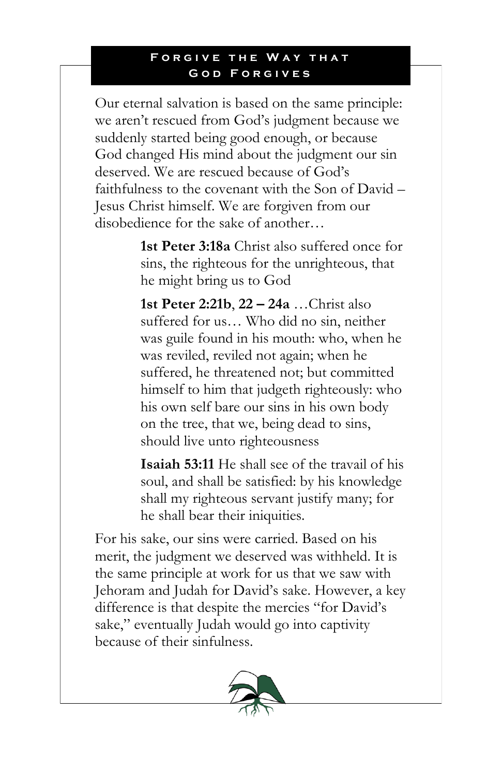Our eternal salvation is based on the same principle: we aren't rescued from God's judgment because we suddenly started being good enough, or because God changed His mind about the judgment our sin deserved. We are rescued because of God's faithfulness to the covenant with the Son of David – Jesus Christ himself. We are forgiven from our disobedience for the sake of another…

> **1st Peter 3:18a** Christ also suffered once for sins, the righteous for the unrighteous, that he might bring us to God

> **1st Peter 2:21b**, **22 – 24a** …Christ also suffered for us… Who did no sin, neither was guile found in his mouth: who, when he was reviled, reviled not again; when he suffered, he threatened not; but committed himself to him that judgeth righteously: who his own self bare our sins in his own body on the tree, that we, being dead to sins, should live unto righteousness

> **Isaiah 53:11** He shall see of the travail of his soul, and shall be satisfied: by his knowledge shall my righteous servant justify many; for he shall bear their iniquities.

For his sake, our sins were carried. Based on his merit, the judgment we deserved was withheld. It is the same principle at work for us that we saw with Jehoram and Judah for David's sake. However, a key difference is that despite the mercies "for David's sake," eventually Judah would go into captivity because of their sinfulness.

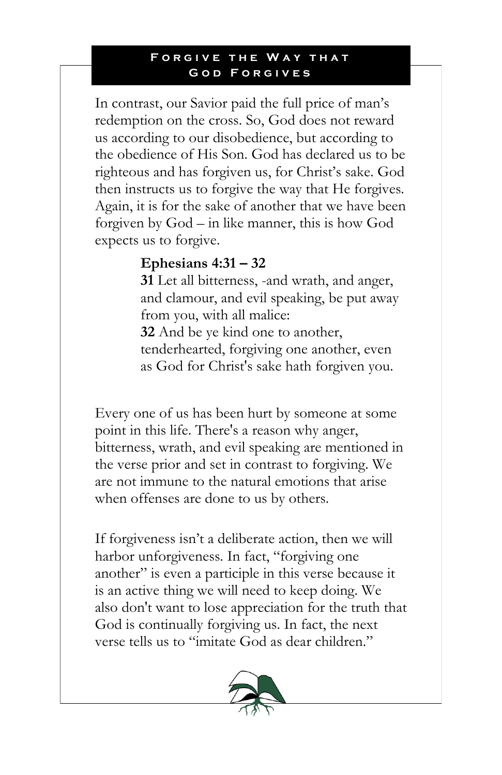#### **FORGIVE THE WAY THAT** GOD FORGIVES

In contrast, our Savior paid the full price of man's redemption on the cross. So, God does not reward us according to our disobedience, but according to the obedience of His Son. God has declared us to be righteous and has forgiven us, for Christ's sake. God then instructs us to forgive the way that He forgives. Again, it is for the sake of another that we have been forgiven by God – in like manner, this is how God expects us to forgive.

## **Ephesians 4:31 – 32**

**31** Let all bitterness, -and wrath, and anger, and clamour, and evil speaking, be put away from you, with all malice: **32** And be ye kind one to another, tenderhearted, forgiving one another, even as God for Christ's sake hath forgiven you.

Every one of us has been hurt by someone at some point in this life. There's a reason why anger, bitterness, wrath, and evil speaking are mentioned in the verse prior and set in contrast to forgiving. We are not immune to the natural emotions that arise when offenses are done to us by others.

If forgiveness isn't a deliberate action, then we will harbor unforgiveness. In fact, "forgiving one another" is even a participle in this verse because it is an active thing we will need to keep doing. We also don't want to lose appreciation for the truth that God is continually forgiving us. In fact, the next verse tells us to "imitate God as dear children."

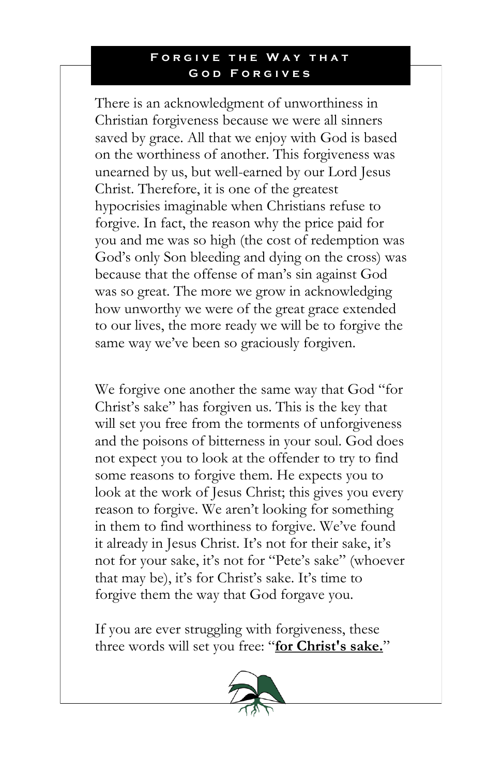#### **FORGIVE THE WAY THAT** GOD FORGIVES

There is an acknowledgment of unworthiness in Christian forgiveness because we were all sinners saved by grace. All that we enjoy with God is based on the worthiness of another. This forgiveness was unearned by us, but well-earned by our Lord Jesus Christ. Therefore, it is one of the greatest hypocrisies imaginable when Christians refuse to forgive. In fact, the reason why the price paid for you and me was so high (the cost of redemption was God's only Son bleeding and dying on the cross) was because that the offense of man's sin against God was so great. The more we grow in acknowledging how unworthy we were of the great grace extended to our lives, the more ready we will be to forgive the same way we've been so graciously forgiven.

We forgive one another the same way that God "for Christ's sake" has forgiven us. This is the key that will set you free from the torments of unforgiveness and the poisons of bitterness in your soul. God does not expect you to look at the offender to try to find some reasons to forgive them. He expects you to look at the work of Jesus Christ; this gives you every reason to forgive. We aren't looking for something in them to find worthiness to forgive. We've found it already in Jesus Christ. It's not for their sake, it's not for your sake, it's not for "Pete's sake" (whoever that may be), it's for Christ's sake. It's time to forgive them the way that God forgave you.

If you are ever struggling with forgiveness, these three words will set you free: "**for Christ's sake.**"

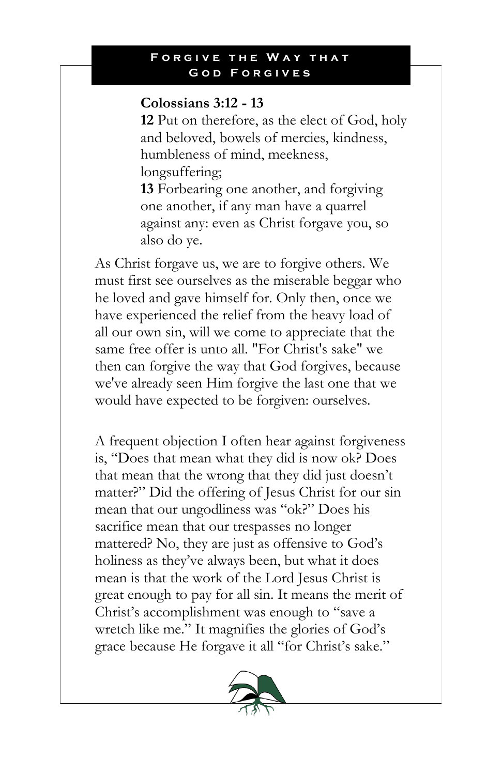## **Colossians 3:12 - 13**

**12** Put on therefore, as the elect of God, holy and beloved, bowels of mercies, kindness, humbleness of mind, meekness, longsuffering;

**13** Forbearing one another, and forgiving one another, if any man have a quarrel against any: even as Christ forgave you, so also do ye.

As Christ forgave us, we are to forgive others. We must first see ourselves as the miserable beggar who he loved and gave himself for. Only then, once we have experienced the relief from the heavy load of all our own sin, will we come to appreciate that the same free offer is unto all. "For Christ's sake" we then can forgive the way that God forgives, because we've already seen Him forgive the last one that we would have expected to be forgiven: ourselves.

A frequent objection I often hear against forgiveness is, "Does that mean what they did is now ok? Does that mean that the wrong that they did just doesn't matter?" Did the offering of Jesus Christ for our sin mean that our ungodliness was "ok?" Does his sacrifice mean that our trespasses no longer mattered? No, they are just as offensive to God's holiness as they've always been, but what it does mean is that the work of the Lord Jesus Christ is great enough to pay for all sin. It means the merit of Christ's accomplishment was enough to "save a wretch like me." It magnifies the glories of God's grace because He forgave it all "for Christ's sake."

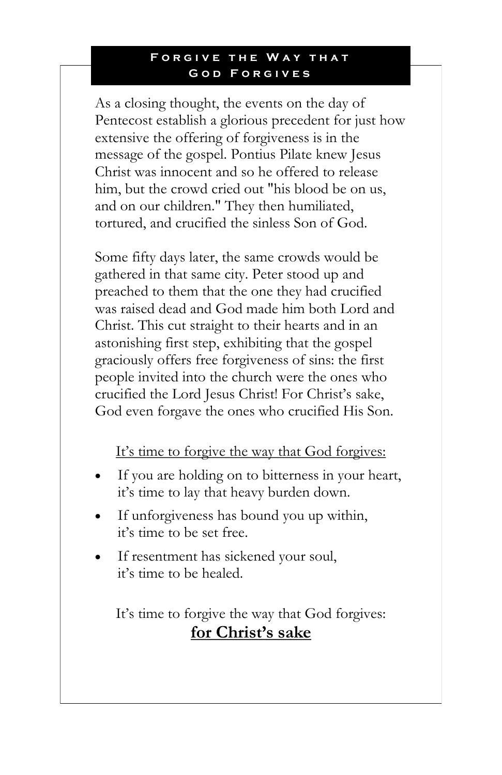As a closing thought, the events on the day of Pentecost establish a glorious precedent for just how extensive the offering of forgiveness is in the message of the gospel. Pontius Pilate knew Jesus Christ was innocent and so he offered to release him, but the crowd cried out "his blood be on us, and on our children." They then humiliated, tortured, and crucified the sinless Son of God.

Some fifty days later, the same crowds would be gathered in that same city. Peter stood up and preached to them that the one they had crucified was raised dead and God made him both Lord and Christ. This cut straight to their hearts and in an astonishing first step, exhibiting that the gospel graciously offers free forgiveness of sins: the first people invited into the church were the ones who crucified the Lord Jesus Christ! For Christ's sake, God even forgave the ones who crucified His Son.

## It's time to forgive the way that God forgives:

- If you are holding on to bitterness in your heart, it's time to lay that heavy burden down.
- If unforgiveness has bound you up within, it's time to be set free.
- If resentment has sickened your soul, it's time to be healed.

It's time to forgive the way that God forgives: **for Christ's sake**